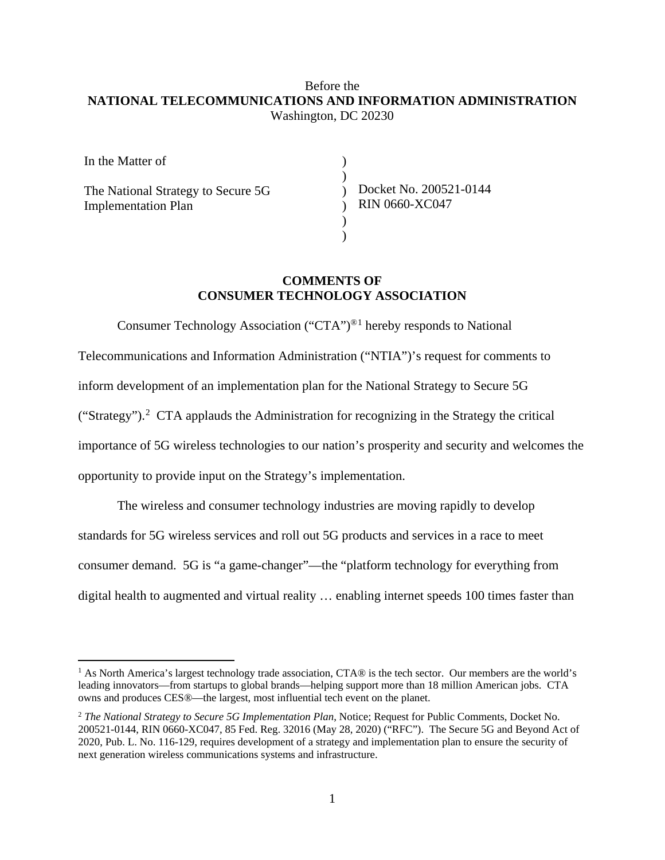## Before the **NATIONAL TELECOMMUNICATIONS AND INFORMATION ADMINISTRATION** Washington, DC 20230

| In the Matter of                                                 |                                                 |
|------------------------------------------------------------------|-------------------------------------------------|
| The National Strategy to Secure 5G<br><b>Implementation Plan</b> | Docket No. 200521-0144<br><b>RIN 0660-XC047</b> |
|                                                                  |                                                 |
|                                                                  |                                                 |

# **COMMENTS OF CONSUMER TECHNOLOGY ASSOCIATION**

Consumer Technology Association ("CTA")®[1](#page-0-0) hereby responds to National Telecommunications and Information Administration ("NTIA")'s request for comments to inform development of an implementation plan for the National Strategy to Secure 5G ("Strategy").<sup>[2](#page-0-1)</sup> CTA applauds the Administration for recognizing in the Strategy the critical importance of 5G wireless technologies to our nation's prosperity and security and welcomes the opportunity to provide input on the Strategy's implementation.

The wireless and consumer technology industries are moving rapidly to develop standards for 5G wireless services and roll out 5G products and services in a race to meet consumer demand. 5G is "a game-changer"—the "platform technology for everything from digital health to augmented and virtual reality … enabling internet speeds 100 times faster than

<span id="page-0-0"></span><sup>&</sup>lt;sup>1</sup> As North America's largest technology trade association, CTA® is the tech sector. Our members are the world's leading innovators—from startups to global brands—helping support more than 18 million American jobs. CTA owns and produces CES®—the largest, most influential tech event on the planet.

<span id="page-0-1"></span><sup>2</sup> *The National Strategy to Secure 5G Implementation Plan*, Notice; Request for Public Comments, Docket No. 200521-0144, RIN 0660-XC047, 85 Fed. Reg. 32016 (May 28, 2020) ("RFC"). The Secure 5G and Beyond Act of 2020, Pub. L. No. 116-129, requires development of a strategy and implementation plan to ensure the security of next generation wireless communications systems and infrastructure.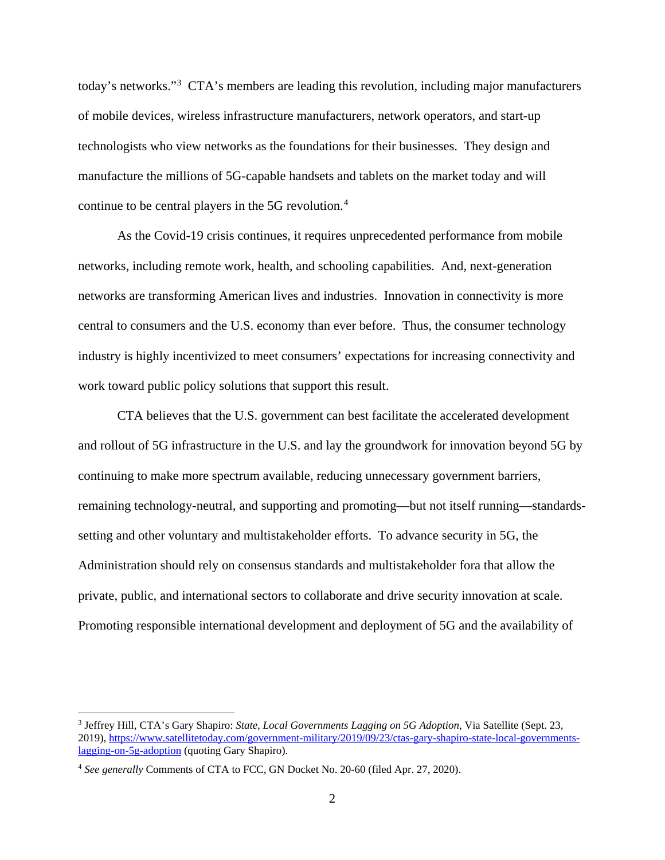today's networks."[3](#page-1-0) CTA's members are leading this revolution, including major manufacturers of mobile devices, wireless infrastructure manufacturers, network operators, and start-up technologists who view networks as the foundations for their businesses. They design and manufacture the millions of 5G-capable handsets and tablets on the market today and will continue to be central players in the 5G revolution. [4](#page-1-1)

As the Covid-19 crisis continues, it requires unprecedented performance from mobile networks, including remote work, health, and schooling capabilities. And, next-generation networks are transforming American lives and industries. Innovation in connectivity is more central to consumers and the U.S. economy than ever before. Thus, the consumer technology industry is highly incentivized to meet consumers' expectations for increasing connectivity and work toward public policy solutions that support this result.

CTA believes that the U.S. government can best facilitate the accelerated development and rollout of 5G infrastructure in the U.S. and lay the groundwork for innovation beyond 5G by continuing to make more spectrum available, reducing unnecessary government barriers, remaining technology-neutral, and supporting and promoting—but not itself running—standardssetting and other voluntary and multistakeholder efforts. To advance security in 5G, the Administration should rely on consensus standards and multistakeholder fora that allow the private, public, and international sectors to collaborate and drive security innovation at scale. Promoting responsible international development and deployment of 5G and the availability of

<span id="page-1-0"></span> <sup>3</sup> Jeffrey Hill, CTA's Gary Shapiro: *State, Local Governments Lagging on 5G Adoption*, Via Satellite (Sept. 23, 2019), [https://www.satellitetoday.com/government-military/2019/09/23/ctas-gary-shapiro-state-local-governments](https://www.satellitetoday.com/government-military/2019/09/23/ctas-gary-shapiro-state-local-governments-lagging-on-5g-adoption)[lagging-on-5g-adoption](https://www.satellitetoday.com/government-military/2019/09/23/ctas-gary-shapiro-state-local-governments-lagging-on-5g-adoption) (quoting Gary Shapiro).

<span id="page-1-1"></span><sup>4</sup> *See generally* Comments of CTA to FCC, GN Docket No. 20-60 (filed Apr. 27, 2020).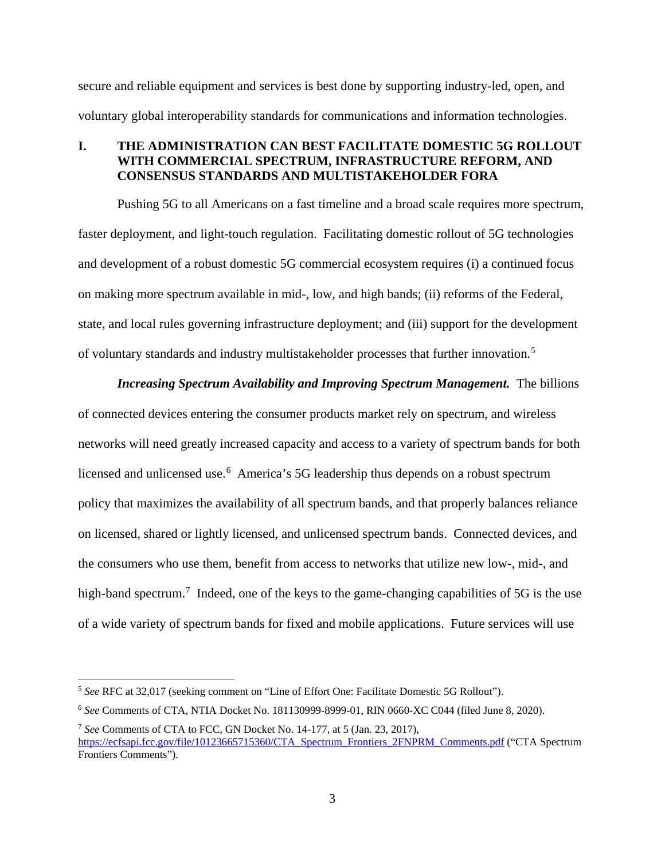secure and reliable equipment and services is best done by supporting industry-led, open, and voluntary global interoperability standards for communications and information technologies.

#### **I. THE ADMINISTRATION CAN BEST FACILITATE DOMESTIC 5G ROLLOUT WITH COMMERCIAL SPECTRUM, INFRASTRUCTURE REFORM, AND CONSENSUS STANDARDS AND MULTISTAKEHOLDER FORA**

Pushing 5G to all Americans on a fast timeline and a broad scale requires more spectrum, faster deployment, and light-touch regulation. Facilitating domestic rollout of 5G technologies and development of a robust domestic 5G commercial ecosystem requires (i) a continued focus on making more spectrum available in mid-, low, and high bands; (ii) reforms of the Federal, state, and local rules governing infrastructure deployment; and (iii) support for the development of voluntary standards and industry multistakeholder processes that further innovation.<sup>[5](#page-2-0)</sup>

*Increasing Spectrum Availability and Improving Spectrum Management.* The billions of connected devices entering the consumer products market rely on spectrum, and wireless networks will need greatly increased capacity and access to a variety of spectrum bands for both licensed and unlicensed use. [6](#page-2-1) America's 5G leadership thus depends on a robust spectrum policy that maximizes the availability of all spectrum bands, and that properly balances reliance on licensed, shared or lightly licensed, and unlicensed spectrum bands. Connected devices, and the consumers who use them, benefit from access to networks that utilize new low-, mid-, and high-band spectrum.<sup>[7](#page-2-2)</sup> Indeed, one of the keys to the game-changing capabilities of 5G is the use of a wide variety of spectrum bands for fixed and mobile applications. Future services will use

<span id="page-2-0"></span> <sup>5</sup> *See* RFC at 32,017 (seeking comment on "Line of Effort One: Facilitate Domestic 5G Rollout").

<span id="page-2-1"></span><sup>6</sup> *See* Comments of CTA, NTIA Docket No. 181130999-8999-01, RIN 0660-XC C044 (filed June 8, 2020).

<span id="page-2-2"></span><sup>7</sup> *See* Comments of CTA to FCC, GN Docket No. 14-177, at 5 (Jan. 23, 2017), [https://ecfsapi.fcc.gov/file/10123665715360/CTA\\_Spectrum\\_Frontiers\\_2FNPRM\\_Comments.pdf](https://ecfsapi.fcc.gov/file/10123665715360/CTA_Spectrum_Frontiers_2FNPRM_Comments.pdf) ("CTA Spectrum Frontiers Comments").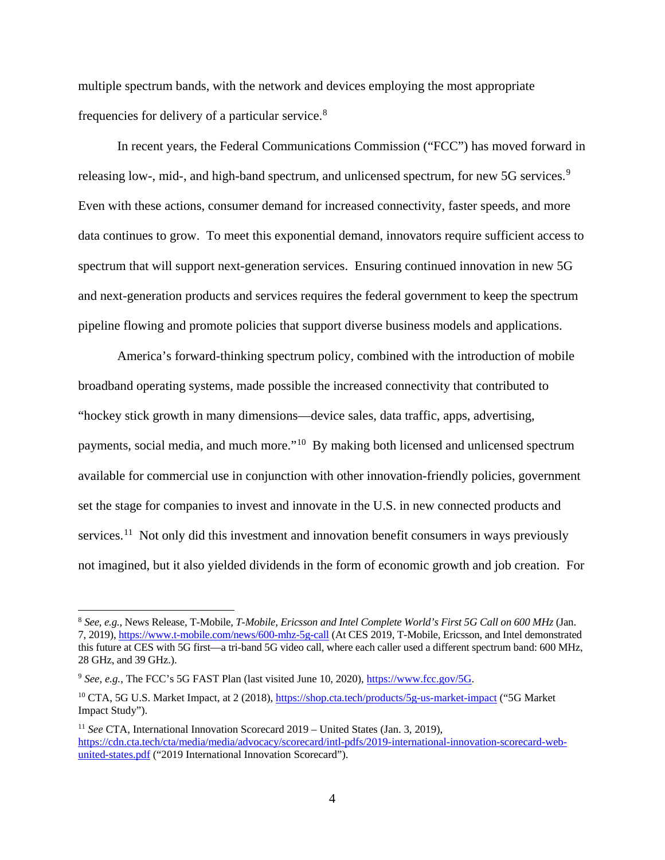multiple spectrum bands, with the network and devices employing the most appropriate frequencies for delivery of a particular service.<sup>[8](#page-3-0)</sup>

In recent years, the Federal Communications Commission ("FCC") has moved forward in releasing low-, mid-, and high-band spectrum, and unlicensed spectrum, for new 5G services.<sup>[9](#page-3-1)</sup> Even with these actions, consumer demand for increased connectivity, faster speeds, and more data continues to grow. To meet this exponential demand, innovators require sufficient access to spectrum that will support next-generation services. Ensuring continued innovation in new 5G and next-generation products and services requires the federal government to keep the spectrum pipeline flowing and promote policies that support diverse business models and applications.

America's forward-thinking spectrum policy, combined with the introduction of mobile broadband operating systems, made possible the increased connectivity that contributed to "hockey stick growth in many dimensions—device sales, data traffic, apps, advertising, payments, social media, and much more."[10](#page-3-2) By making both licensed and unlicensed spectrum available for commercial use in conjunction with other innovation-friendly policies, government set the stage for companies to invest and innovate in the U.S. in new connected products and services.<sup>[11](#page-3-3)</sup> Not only did this investment and innovation benefit consumers in ways previously not imagined, but it also yielded dividends in the form of economic growth and job creation. For

<span id="page-3-0"></span> <sup>8</sup> *See, e.g.*, News Release, T-Mobile, *T-Mobile, Ericsson and Intel Complete World's First 5G Call on 600 MHz* (Jan. 7, 2019)[, https://www.t-mobile.com/news/600-mhz-5g-call](https://www.t-mobile.com/news/600-mhz-5g-call) (At CES 2019, T-Mobile, Ericsson, and Intel demonstrated this future at CES with 5G first—a tri-band 5G video call, where each caller used a different spectrum band: 600 MHz, 28 GHz, and 39 GHz.).

<span id="page-3-1"></span><sup>9</sup> *See, e.g.*, The FCC's 5G FAST Plan (last visited June 10, 2020)[, https://www.fcc.gov/5G.](https://www.fcc.gov/5G) 

<span id="page-3-2"></span><sup>&</sup>lt;sup>10</sup> CTA, 5G U.S. Market Impact, at 2 (2018),<https://shop.cta.tech/products/5g-us-market-impact> ("5G Market") Impact Study").

<span id="page-3-3"></span><sup>11</sup> *See* CTA, International Innovation Scorecard 2019 – United States (Jan. 3, 2019), [https://cdn.cta.tech/cta/media/media/advocacy/scorecard/intl-pdfs/2019-international-innovation-scorecard-web](https://cdn.cta.tech/cta/media/media/advocacy/scorecard/intl-pdfs/2019-international-innovation-scorecard-web-united-states.pdf)[united-states.pdf](https://cdn.cta.tech/cta/media/media/advocacy/scorecard/intl-pdfs/2019-international-innovation-scorecard-web-united-states.pdf) ("2019 International Innovation Scorecard").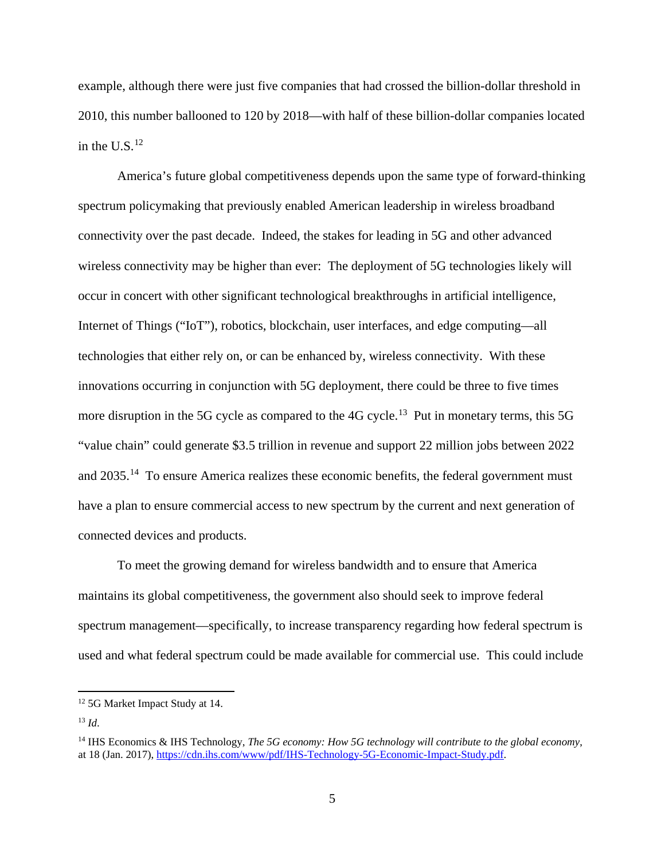example, although there were just five companies that had crossed the billion-dollar threshold in 2010, this number ballooned to 120 by 2018—with half of these billion-dollar companies located in the U.S. $^{12}$  $^{12}$  $^{12}$ 

America's future global competitiveness depends upon the same type of forward-thinking spectrum policymaking that previously enabled American leadership in wireless broadband connectivity over the past decade. Indeed, the stakes for leading in 5G and other advanced wireless connectivity may be higher than ever: The deployment of 5G technologies likely will occur in concert with other significant technological breakthroughs in artificial intelligence, Internet of Things ("IoT"), robotics, blockchain, user interfaces, and edge computing—all technologies that either rely on, or can be enhanced by, wireless connectivity. With these innovations occurring in conjunction with 5G deployment, there could be three to five times more disruption in the 5G cycle as compared to the  $4G$  cycle.<sup>[13](#page-4-1)</sup> Put in monetary terms, this 5G "value chain" could generate \$3.5 trillion in revenue and support 22 million jobs between 2022 and 2035.[14](#page-4-2) To ensure America realizes these economic benefits, the federal government must have a plan to ensure commercial access to new spectrum by the current and next generation of connected devices and products.

To meet the growing demand for wireless bandwidth and to ensure that America maintains its global competitiveness, the government also should seek to improve federal spectrum management—specifically, to increase transparency regarding how federal spectrum is used and what federal spectrum could be made available for commercial use. This could include

<span id="page-4-0"></span> <sup>12</sup> 5G Market Impact Study at 14.

<span id="page-4-1"></span><sup>13</sup> *Id*.

<span id="page-4-2"></span><sup>14</sup> IHS Economics & IHS Technology, *The 5G economy: How 5G technology will contribute to the global economy*, at 18 (Jan. 2017), [https://cdn.ihs.com/www/pdf/IHS-Technology-5G-Economic-Impact-Study.pdf.](https://cdn.ihs.com/www/pdf/IHS-Technology-5G-Economic-Impact-Study.pdf)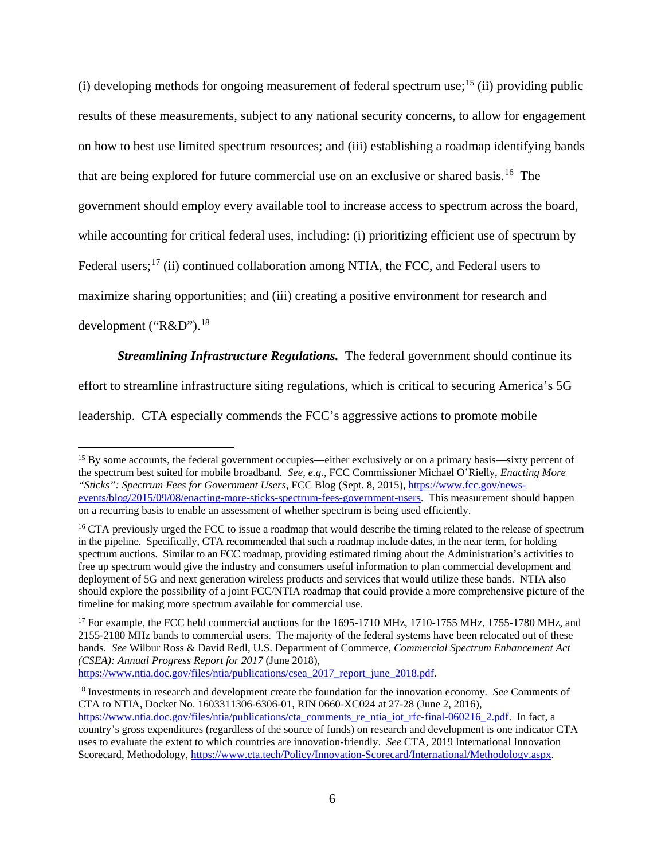$(i)$  developing methods for ongoing measurement of federal spectrum use;<sup>[15](#page-5-0)</sup> (ii) providing public results of these measurements, subject to any national security concerns, to allow for engagement on how to best use limited spectrum resources; and (iii) establishing a roadmap identifying bands that are being explored for future commercial use on an exclusive or shared basis. [16](#page-5-1) The government should employ every available tool to increase access to spectrum across the board, while accounting for critical federal uses, including: (i) prioritizing efficient use of spectrum by Federal users;<sup>[17](#page-5-2)</sup> (ii) continued collaboration among NTIA, the FCC, and Federal users to maximize sharing opportunities; and (iii) creating a positive environment for research and development ("R&D").<sup>[18](#page-5-3)</sup>

*Streamlining Infrastructure Regulations.* The federal government should continue its effort to streamline infrastructure siting regulations, which is critical to securing America's 5G

leadership. CTA especially commends the FCC's aggressive actions to promote mobile

[https://www.ntia.doc.gov/files/ntia/publications/csea\\_2017\\_report\\_june\\_2018.pdf.](https://www.ntia.doc.gov/files/ntia/publications/csea_2017_report_june_2018.pdf)

<span id="page-5-0"></span><sup>&</sup>lt;sup>15</sup> By some accounts, the federal government occupies—either exclusively or on a primary basis—sixty percent of the spectrum best suited for mobile broadband. *See, e.g.*, FCC Commissioner Michael O'Rielly, *Enacting More "Sticks": Spectrum Fees for Government Users*, FCC Blog (Sept. 8, 2015), [https://www.fcc.gov/news](https://www.fcc.gov/news-events/blog/2015/09/08/enacting-more-sticks-spectrum-fees-government-users)[events/blog/2015/09/08/enacting-more-sticks-spectrum-fees-government-users.](https://www.fcc.gov/news-events/blog/2015/09/08/enacting-more-sticks-spectrum-fees-government-users) This measurement should happen on a recurring basis to enable an assessment of whether spectrum is being used efficiently.

<span id="page-5-1"></span><sup>&</sup>lt;sup>16</sup> CTA previously urged the FCC to issue a roadmap that would describe the timing related to the release of spectrum in the pipeline. Specifically, CTA recommended that such a roadmap include dates, in the near term, for holding spectrum auctions. Similar to an FCC roadmap, providing estimated timing about the Administration's activities to free up spectrum would give the industry and consumers useful information to plan commercial development and deployment of 5G and next generation wireless products and services that would utilize these bands. NTIA also should explore the possibility of a joint FCC/NTIA roadmap that could provide a more comprehensive picture of the timeline for making more spectrum available for commercial use.

<span id="page-5-2"></span><sup>&</sup>lt;sup>17</sup> For example, the FCC held commercial auctions for the 1695-1710 MHz, 1710-1755 MHz, 1755-1780 MHz, and 2155-2180 MHz bands to commercial users. The majority of the federal systems have been relocated out of these bands. *See* Wilbur Ross & David Redl, U.S. Department of Commerce, *Commercial Spectrum Enhancement Act (CSEA): Annual Progress Report for 2017* (June 2018),

<span id="page-5-3"></span><sup>18</sup> Investments in research and development create the foundation for the innovation economy*. See* Comments of CTA to NTIA, Docket No. 1603311306-6306-01, RIN 0660-XC024 at 27-28 (June 2, 2016), [https://www.ntia.doc.gov/files/ntia/publications/cta\\_comments\\_re\\_ntia\\_iot\\_rfc-final-060216\\_2.pdf.](https://www.ntia.doc.gov/files/ntia/publications/cta_comments_re_ntia_iot_rfc-final-060216_2.pdf) In fact, a country's gross expenditures (regardless of the source of funds) on research and development is one indicator CTA uses to evaluate the extent to which countries are innovation-friendly. *See* CTA, 2019 International Innovation Scorecard, Methodology, [https://www.cta.tech/Policy/Innovation-Scorecard/International/Methodology.aspx.](https://www.cta.tech/Policy/Innovation-Scorecard/International/Methodology.aspx)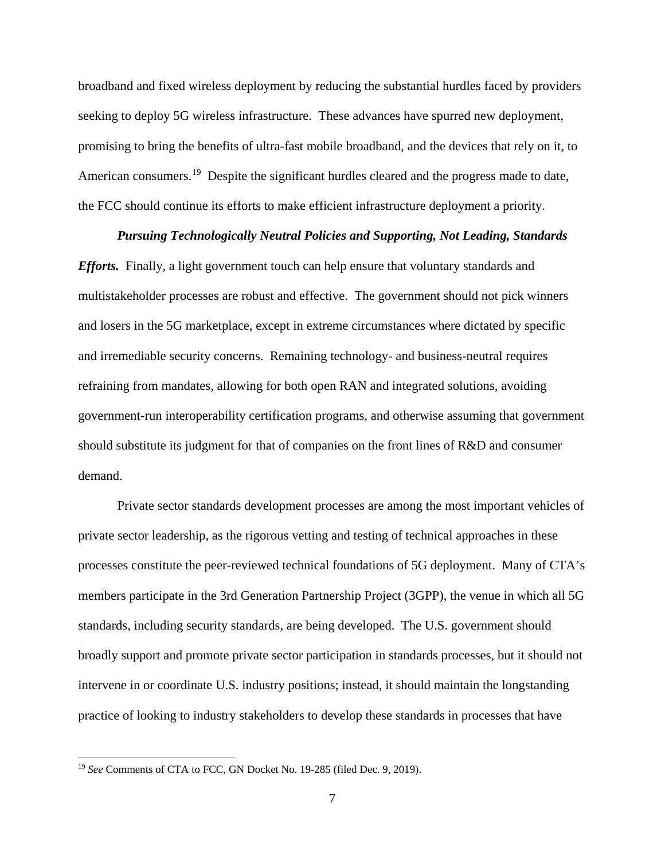broadband and fixed wireless deployment by reducing the substantial hurdles faced by providers seeking to deploy 5G wireless infrastructure. These advances have spurred new deployment, promising to bring the benefits of ultra-fast mobile broadband, and the devices that rely on it, to American consumers.<sup>[19](#page-6-0)</sup> Despite the significant hurdles cleared and the progress made to date, the FCC should continue its efforts to make efficient infrastructure deployment a priority.

#### *Pursuing Technologically Neutral Policies and Supporting, Not Leading, Standards*

*Efforts.* Finally, a light government touch can help ensure that voluntary standards and multistakeholder processes are robust and effective. The government should not pick winners and losers in the 5G marketplace, except in extreme circumstances where dictated by specific and irremediable security concerns. Remaining technology- and business-neutral requires refraining from mandates, allowing for both open RAN and integrated solutions, avoiding government-run interoperability certification programs, and otherwise assuming that government should substitute its judgment for that of companies on the front lines of R&D and consumer demand.

Private sector standards development processes are among the most important vehicles of private sector leadership, as the rigorous vetting and testing of technical approaches in these processes constitute the peer-reviewed technical foundations of 5G deployment. Many of CTA's members participate in the 3rd Generation Partnership Project (3GPP), the venue in which all 5G standards, including security standards, are being developed. The U.S. government should broadly support and promote private sector participation in standards processes, but it should not intervene in or coordinate U.S. industry positions; instead, it should maintain the longstanding practice of looking to industry stakeholders to develop these standards in processes that have

<span id="page-6-0"></span> <sup>19</sup> *See* Comments of CTA to FCC, GN Docket No. 19-285 (filed Dec. 9, 2019).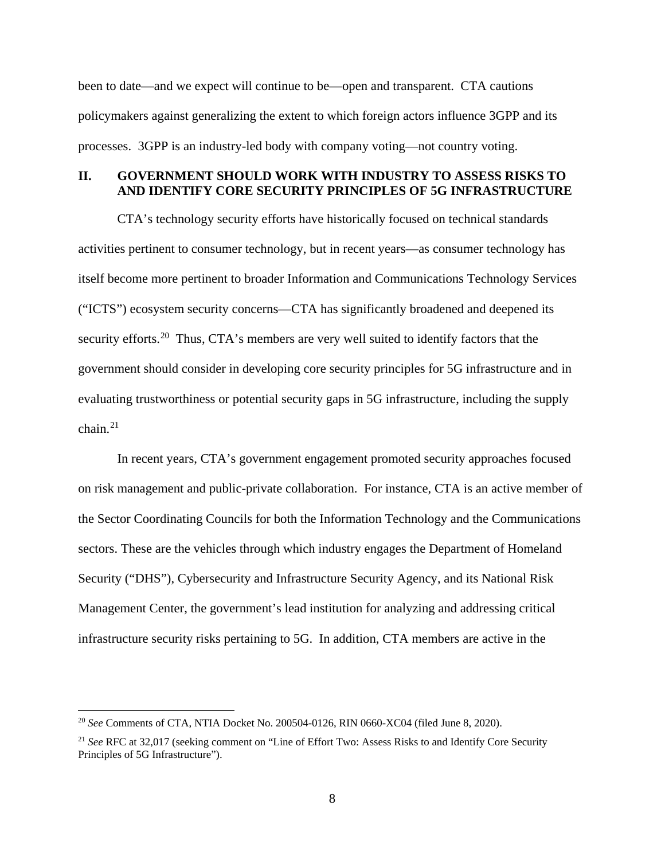been to date—and we expect will continue to be—open and transparent. CTA cautions policymakers against generalizing the extent to which foreign actors influence 3GPP and its processes. 3GPP is an industry-led body with company voting—not country voting.

#### **II. GOVERNMENT SHOULD WORK WITH INDUSTRY TO ASSESS RISKS TO AND IDENTIFY CORE SECURITY PRINCIPLES OF 5G INFRASTRUCTURE**

CTA's technology security efforts have historically focused on technical standards activities pertinent to consumer technology, but in recent years—as consumer technology has itself become more pertinent to broader Information and Communications Technology Services ("ICTS") ecosystem security concerns—CTA has significantly broadened and deepened its security efforts.<sup>20</sup> Thus, CTA's members are very well suited to identify factors that the government should consider in developing core security principles for 5G infrastructure and in evaluating trustworthiness or potential security gaps in 5G infrastructure, including the supply  $chain<sup>21</sup>$ 

In recent years, CTA's government engagement promoted security approaches focused on risk management and public-private collaboration. For instance, CTA is an active member of the Sector Coordinating Councils for both the Information Technology and the Communications sectors. These are the vehicles through which industry engages the Department of Homeland Security ("DHS"), Cybersecurity and Infrastructure Security Agency, and its National Risk Management Center, the government's lead institution for analyzing and addressing critical infrastructure security risks pertaining to 5G. In addition, CTA members are active in the

<span id="page-7-0"></span> <sup>20</sup> *See* Comments of CTA, NTIA Docket No. 200504-0126, RIN 0660-XC04 (filed June 8, 2020).

<span id="page-7-1"></span><sup>21</sup> *See* RFC at 32,017 (seeking comment on "Line of Effort Two: Assess Risks to and Identify Core Security Principles of 5G Infrastructure").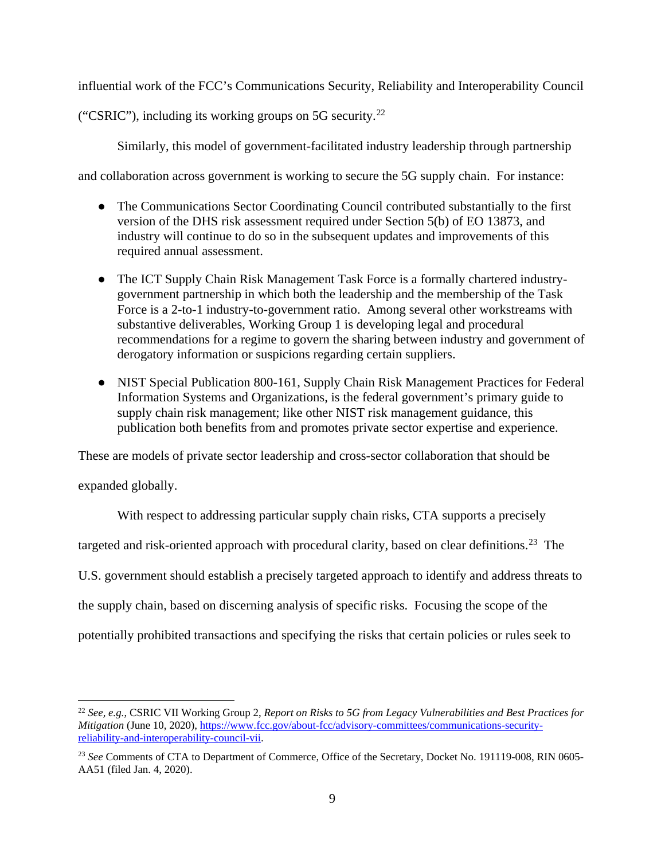influential work of the FCC's Communications Security, Reliability and Interoperability Council

("CSRIC"), including its working groups on 5G security.<sup>22</sup>

Similarly, this model of government-facilitated industry leadership through partnership

and collaboration across government is working to secure the 5G supply chain. For instance:

- The Communications Sector Coordinating Council contributed substantially to the first version of the DHS risk assessment required under Section 5(b) of EO 13873, and industry will continue to do so in the subsequent updates and improvements of this required annual assessment.
- The ICT Supply Chain Risk Management Task Force is a formally chartered industrygovernment partnership in which both the leadership and the membership of the Task Force is a 2-to-1 industry-to-government ratio. Among several other workstreams with substantive deliverables, Working Group 1 is developing legal and procedural recommendations for a regime to govern the sharing between industry and government of derogatory information or suspicions regarding certain suppliers.
- NIST Special Publication 800-161, Supply Chain Risk Management Practices for Federal Information Systems and Organizations, is the federal government's primary guide to supply chain risk management; like other NIST risk management guidance, this publication both benefits from and promotes private sector expertise and experience.

These are models of private sector leadership and cross-sector collaboration that should be

expanded globally.

With respect to addressing particular supply chain risks, CTA supports a precisely targeted and risk-oriented approach with procedural clarity, based on clear definitions.<sup>[23](#page-8-1)</sup> The U.S. government should establish a precisely targeted approach to identify and address threats to the supply chain, based on discerning analysis of specific risks. Focusing the scope of the potentially prohibited transactions and specifying the risks that certain policies or rules seek to

<span id="page-8-0"></span> <sup>22</sup> *See, e.g.*, CSRIC VII Working Group 2, *Report on Risks to 5G from Legacy Vulnerabilities and Best Practices for Mitigation* (June 10, 2020), [https://www.fcc.gov/about-fcc/advisory-committees/communications-security](https://www.fcc.gov/about-fcc/advisory-committees/communications-security-reliability-and-interoperability-council-vii)[reliability-and-interoperability-council-vii.](https://www.fcc.gov/about-fcc/advisory-committees/communications-security-reliability-and-interoperability-council-vii) 

<span id="page-8-1"></span><sup>&</sup>lt;sup>23</sup> See Comments of CTA to Department of Commerce, Office of the Secretary, Docket No. 191119-008, RIN 0605-AA51 (filed Jan. 4, 2020).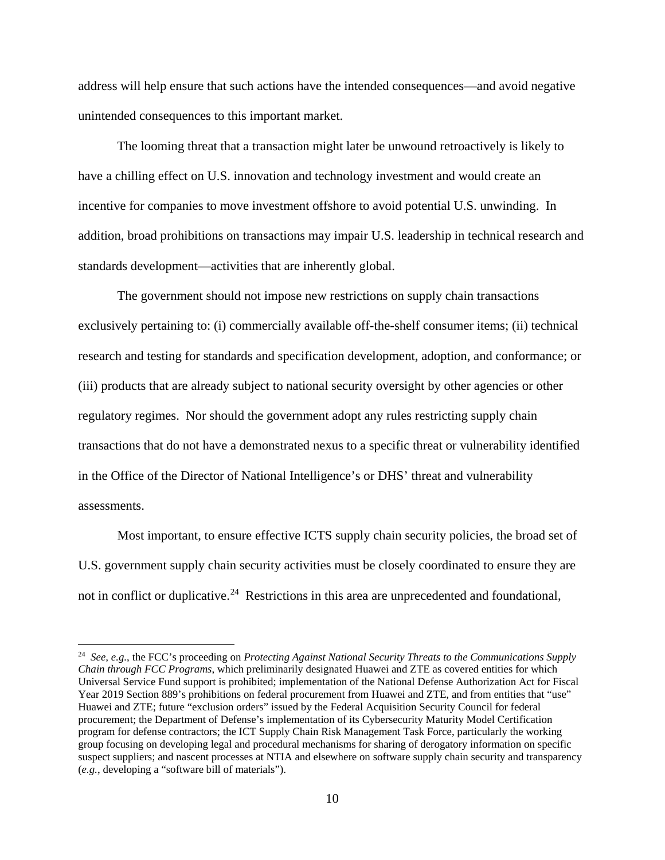address will help ensure that such actions have the intended consequences—and avoid negative unintended consequences to this important market.

The looming threat that a transaction might later be unwound retroactively is likely to have a chilling effect on U.S. innovation and technology investment and would create an incentive for companies to move investment offshore to avoid potential U.S. unwinding. In addition, broad prohibitions on transactions may impair U.S. leadership in technical research and standards development—activities that are inherently global.

The government should not impose new restrictions on supply chain transactions exclusively pertaining to: (i) commercially available off-the-shelf consumer items; (ii) technical research and testing for standards and specification development, adoption, and conformance; or (iii) products that are already subject to national security oversight by other agencies or other regulatory regimes. Nor should the government adopt any rules restricting supply chain transactions that do not have a demonstrated nexus to a specific threat or vulnerability identified in the Office of the Director of National Intelligence's or DHS' threat and vulnerability assessments.

Most important, to ensure effective ICTS supply chain security policies, the broad set of U.S. government supply chain security activities must be closely coordinated to ensure they are not in conflict or duplicative.<sup>[24](#page-9-0)</sup> Restrictions in this area are unprecedented and foundational,

<span id="page-9-0"></span> <sup>24</sup> *See, e.g.*, the FCC's proceeding on *Protecting Against National Security Threats to the Communications Supply Chain through FCC Programs*, which preliminarily designated Huawei and ZTE as covered entities for which Universal Service Fund support is prohibited; implementation of the National Defense Authorization Act for Fiscal Year 2019 Section 889's prohibitions on federal procurement from Huawei and ZTE, and from entities that "use" Huawei and ZTE; future "exclusion orders" issued by the Federal Acquisition Security Council for federal procurement; the Department of Defense's implementation of its Cybersecurity Maturity Model Certification program for defense contractors; the ICT Supply Chain Risk Management Task Force, particularly the working group focusing on developing legal and procedural mechanisms for sharing of derogatory information on specific suspect suppliers; and nascent processes at NTIA and elsewhere on software supply chain security and transparency (*e.g.*, developing a "software bill of materials").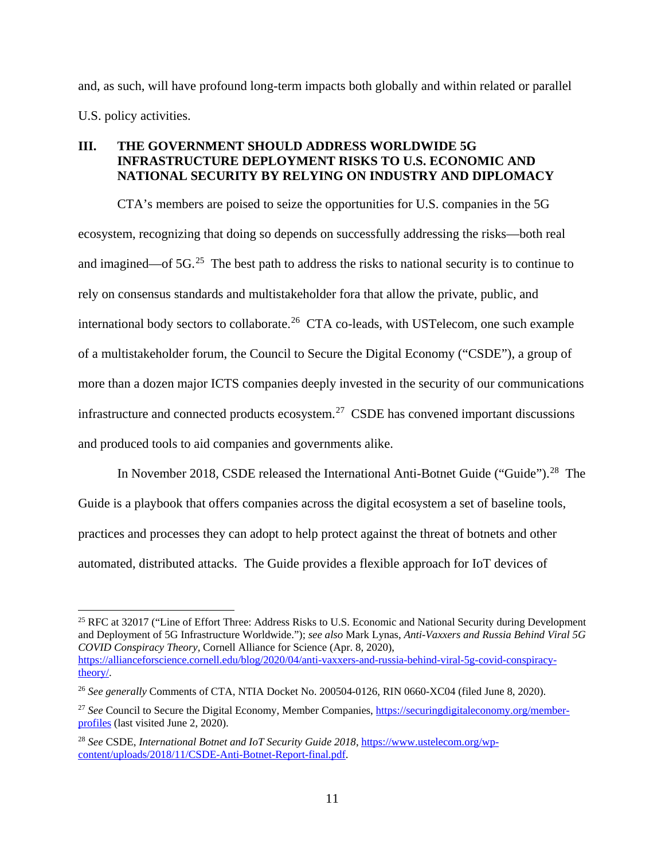and, as such, will have profound long-term impacts both globally and within related or parallel U.S. policy activities.

# **III. THE GOVERNMENT SHOULD ADDRESS WORLDWIDE 5G INFRASTRUCTURE DEPLOYMENT RISKS TO U.S. ECONOMIC AND NATIONAL SECURITY BY RELYING ON INDUSTRY AND DIPLOMACY**

CTA's members are poised to seize the opportunities for U.S. companies in the 5G ecosystem, recognizing that doing so depends on successfully addressing the risks—both real and imagined—of  $5G<sup>25</sup>$  $5G<sup>25</sup>$  $5G<sup>25</sup>$ . The best path to address the risks to national security is to continue to rely on consensus standards and multistakeholder fora that allow the private, public, and international body sectors to collaborate.<sup>[26](#page-10-1)</sup> CTA co-leads, with USTelecom, one such example of a multistakeholder forum, the Council to Secure the Digital Economy ("CSDE"), a group of more than a dozen major ICTS companies deeply invested in the security of our communications infrastructure and connected products ecosystem.<sup>[27](#page-10-2)</sup> CSDE has convened important discussions and produced tools to aid companies and governments alike.

In November 2018, CSDE released the International Anti-Botnet Guide ("Guide").<sup>28</sup> The Guide is a playbook that offers companies across the digital ecosystem a set of baseline tools, practices and processes they can adopt to help protect against the threat of botnets and other automated, distributed attacks. The Guide provides a flexible approach for IoT devices of

<span id="page-10-0"></span><sup>&</sup>lt;sup>25</sup> RFC at 32017 ("Line of Effort Three: Address Risks to U.S. Economic and National Security during Development and Deployment of 5G Infrastructure Worldwide."); *see also* Mark Lynas, *Anti-Vaxxers and Russia Behind Viral 5G COVID Conspiracy Theory,* Cornell Alliance for Science (Apr. 8, 2020), [https://allianceforscience.cornell.edu/blog/2020/04/anti-vaxxers-and-russia-behind-viral-5g-covid-conspiracy](https://allianceforscience.cornell.edu/blog/2020/04/anti-vaxxers-and-russia-behind-viral-5g-covid-conspiracy-theory/)[theory/.](https://allianceforscience.cornell.edu/blog/2020/04/anti-vaxxers-and-russia-behind-viral-5g-covid-conspiracy-theory/) 

<span id="page-10-1"></span><sup>26</sup> *See generally* Comments of CTA, NTIA Docket No. 200504-0126, RIN 0660-XC04 (filed June 8, 2020).

<span id="page-10-2"></span><sup>&</sup>lt;sup>27</sup> See Council to Secure the Digital Economy, Member Companies, [https://securingdigitaleconomy.org/member](https://securingdigitaleconomy.org/member-profiles/)[profiles](https://securingdigitaleconomy.org/member-profiles/) (last visited June 2, 2020).

<span id="page-10-3"></span><sup>28</sup> *See* CSDE, *International Botnet and IoT Security Guide 2018*, [https://www.ustelecom.org/wp](https://www.ustelecom.org/wp-content/uploads/2018/11/CSDE-Anti-Botnet-Report-final.pdf)[content/uploads/2018/11/CSDE-Anti-Botnet-Report-final.pdf.](https://www.ustelecom.org/wp-content/uploads/2018/11/CSDE-Anti-Botnet-Report-final.pdf)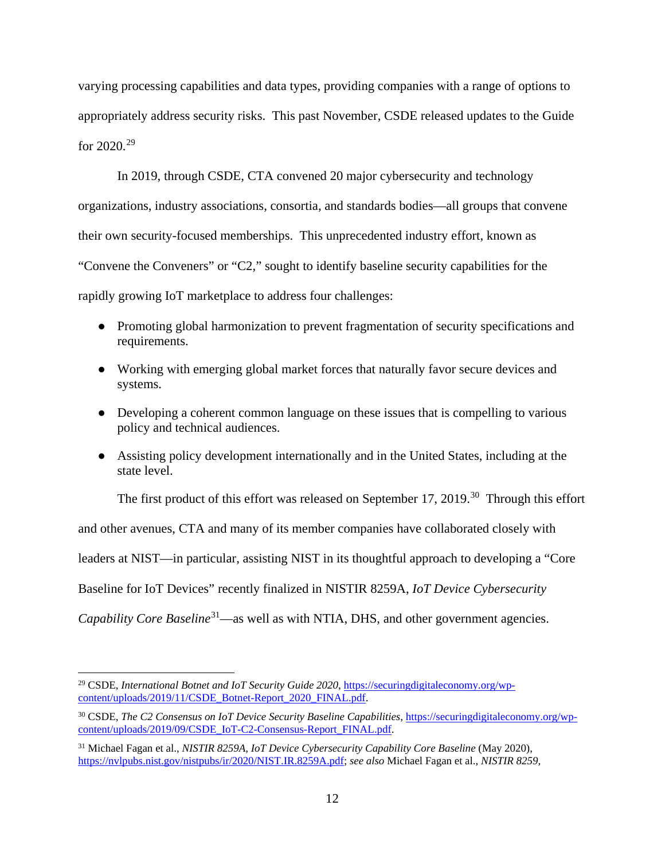varying processing capabilities and data types, providing companies with a range of options to appropriately address security risks. This past November, CSDE released updates to the Guide for  $2020.^{29}$ 

In 2019, through CSDE, CTA convened 20 major cybersecurity and technology organizations, industry associations, consortia, and standards bodies—all groups that convene their own security-focused memberships. This unprecedented industry effort, known as "Convene the Conveners" or "C2," sought to identify baseline security capabilities for the rapidly growing IoT marketplace to address four challenges:

- Promoting global harmonization to prevent fragmentation of security specifications and requirements.
- Working with emerging global market forces that naturally favor secure devices and systems.
- Developing a coherent common language on these issues that is compelling to various policy and technical audiences.
- Assisting policy development internationally and in the United States, including at the state level.

The first product of this effort was released on September 17, 2019.<sup>[30](#page-11-1)</sup> Through this effort

and other avenues, CTA and many of its member companies have collaborated closely with

leaders at NIST—in particular, assisting NIST in its thoughtful approach to developing a "Core

Baseline for IoT Devices" recently finalized in NISTIR 8259A, *IoT Device Cybersecurity* 

*Capability Core Baseline*<sup>31</sup>—as well as with NTIA, DHS, and other government agencies.

<span id="page-11-0"></span><sup>&</sup>lt;sup>29</sup> CSDE, International Botnet and IoT Security Guide 2020[, https://securingdigitaleconomy.org/wp](https://securingdigitaleconomy.org/wp-content/uploads/2019/11/CSDE_Botnet-Report_2020_FINAL.pdf)[content/uploads/2019/11/CSDE\\_Botnet-Report\\_2020\\_FINAL.pdf.](https://securingdigitaleconomy.org/wp-content/uploads/2019/11/CSDE_Botnet-Report_2020_FINAL.pdf)

<span id="page-11-1"></span><sup>30</sup> CSDE, *The C2 Consensus on IoT Device Security Baseline Capabilities*, [https://securingdigitaleconomy.org/wp](https://securingdigitaleconomy.org/wp-content/uploads/2019/09/CSDE_IoT-C2-Consensus-Report_FINAL.pdf)[content/uploads/2019/09/CSDE\\_IoT-C2-Consensus-Report\\_FINAL.pdf.](https://securingdigitaleconomy.org/wp-content/uploads/2019/09/CSDE_IoT-C2-Consensus-Report_FINAL.pdf)

<span id="page-11-2"></span><sup>31</sup> Michael Fagan et al., *NISTIR 8259A, IoT Device Cybersecurity Capability Core Baseline* (May 2020), [https://nvlpubs.nist.gov/nistpubs/ir/2020/NIST.IR.8259A.pdf;](https://nvlpubs.nist.gov/nistpubs/ir/2020/NIST.IR.8259A.pdf) *see also* Michael Fagan et al., *NISTIR 8259,*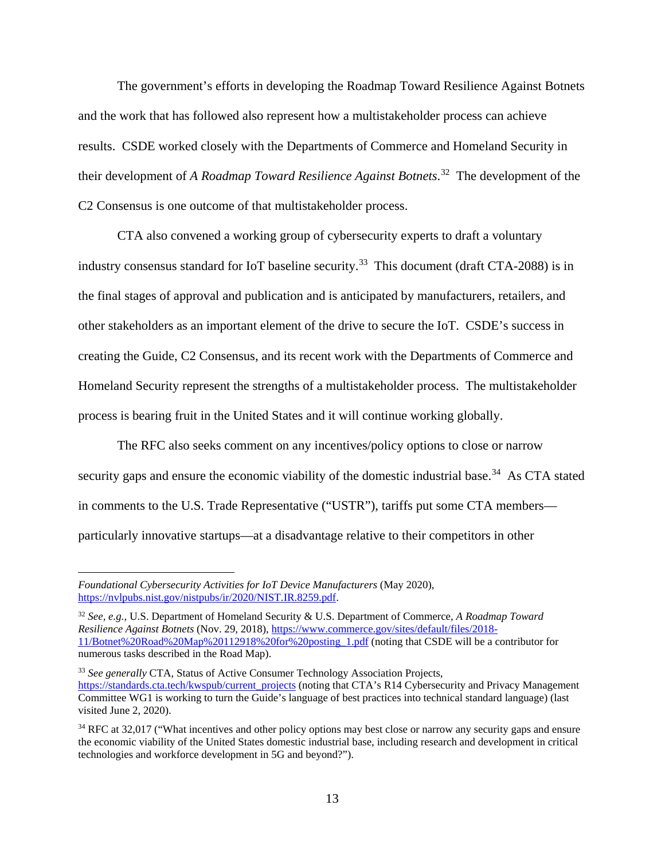The government's efforts in developing the Roadmap Toward Resilience Against Botnets and the work that has followed also represent how a multistakeholder process can achieve results. CSDE worked closely with the Departments of Commerce and Homeland Security in their development of *A Roadmap Toward Resilience Against Botnets*. [32](#page-12-0) The development of the C2 Consensus is one outcome of that multistakeholder process.

CTA also convened a working group of cybersecurity experts to draft a voluntary industry consensus standard for IoT baseline security.<sup>33</sup> This document (draft CTA-2088) is in the final stages of approval and publication and is anticipated by manufacturers, retailers, and other stakeholders as an important element of the drive to secure the IoT. CSDE's success in creating the Guide, C2 Consensus, and its recent work with the Departments of Commerce and Homeland Security represent the strengths of a multistakeholder process. The multistakeholder process is bearing fruit in the United States and it will continue working globally.

The RFC also seeks comment on any incentives/policy options to close or narrow security gaps and ensure the economic viability of the domestic industrial base.<sup>[34](#page-12-2)</sup> As CTA stated in comments to the U.S. Trade Representative ("USTR"), tariffs put some CTA members particularly innovative startups—at a disadvantage relative to their competitors in other

 $\overline{a}$ 

*Foundational Cybersecurity Activities for IoT Device Manufacturers* (May 2020), [https://nvlpubs.nist.gov/nistpubs/ir/2020/NIST.IR.8259.pdf.](https://nvlpubs.nist.gov/nistpubs/ir/2020/NIST.IR.8259.pdf)

<span id="page-12-0"></span><sup>32</sup> *See, e.g.,* U.S. Department of Homeland Security & U.S. Department of Commerce, *A Roadmap Toward Resilience Against Botnets* (Nov. 29, 2018), [https://www.commerce.gov/sites/default/files/2018-](https://www.commerce.gov/sites/default/files/2018-11/Botnet%20Road%20Map%20112918%20for%20posting_1.pdf) [11/Botnet%20Road%20Map%20112918%20for%20posting\\_1.pdf](https://www.commerce.gov/sites/default/files/2018-11/Botnet%20Road%20Map%20112918%20for%20posting_1.pdf) (noting that CSDE will be a contributor for numerous tasks described in the Road Map).

<span id="page-12-1"></span><sup>33</sup> *See generally* CTA, Status of Active Consumer Technology Association Projects, [https://standards.cta.tech/kwspub/current\\_projects](https://standards.cta.tech/kwspub/current_projects) (noting that CTA's R14 Cybersecurity and Privacy Management Committee WG1 is working to turn the Guide's language of best practices into technical standard language) (last visited June 2, 2020).

<span id="page-12-2"></span><sup>&</sup>lt;sup>34</sup> RFC at 32,017 ("What incentives and other policy options may best close or narrow any security gaps and ensure the economic viability of the United States domestic industrial base, including research and development in critical technologies and workforce development in 5G and beyond?").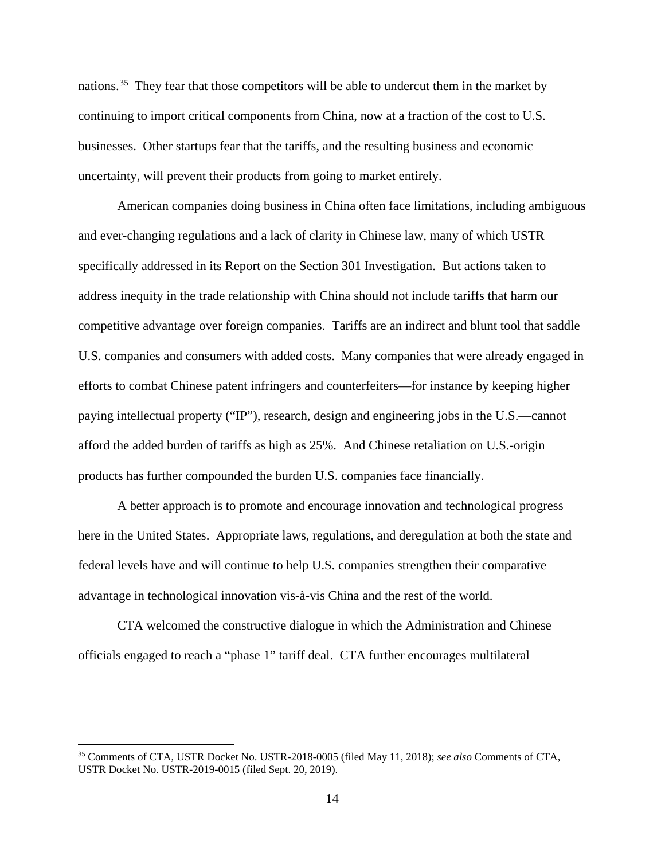nations.<sup>[35](#page-13-0)</sup> They fear that those competitors will be able to undercut them in the market by continuing to import critical components from China, now at a fraction of the cost to U.S. businesses. Other startups fear that the tariffs, and the resulting business and economic uncertainty, will prevent their products from going to market entirely.

American companies doing business in China often face limitations, including ambiguous and ever-changing regulations and a lack of clarity in Chinese law, many of which USTR specifically addressed in its Report on the Section 301 Investigation. But actions taken to address inequity in the trade relationship with China should not include tariffs that harm our competitive advantage over foreign companies. Tariffs are an indirect and blunt tool that saddle U.S. companies and consumers with added costs. Many companies that were already engaged in efforts to combat Chinese patent infringers and counterfeiters—for instance by keeping higher paying intellectual property ("IP"), research, design and engineering jobs in the U.S.—cannot afford the added burden of tariffs as high as 25%. And Chinese retaliation on U.S.-origin products has further compounded the burden U.S. companies face financially.

A better approach is to promote and encourage innovation and technological progress here in the United States. Appropriate laws, regulations, and deregulation at both the state and federal levels have and will continue to help U.S. companies strengthen their comparative advantage in technological innovation vis-à-vis China and the rest of the world.

CTA welcomed the constructive dialogue in which the Administration and Chinese officials engaged to reach a "phase 1" tariff deal. CTA further encourages multilateral

<span id="page-13-0"></span> <sup>35</sup> Comments of CTA, USTR Docket No. USTR-2018-0005 (filed May 11, 2018); *see also* Comments of CTA, USTR Docket No. USTR-2019-0015 (filed Sept. 20, 2019).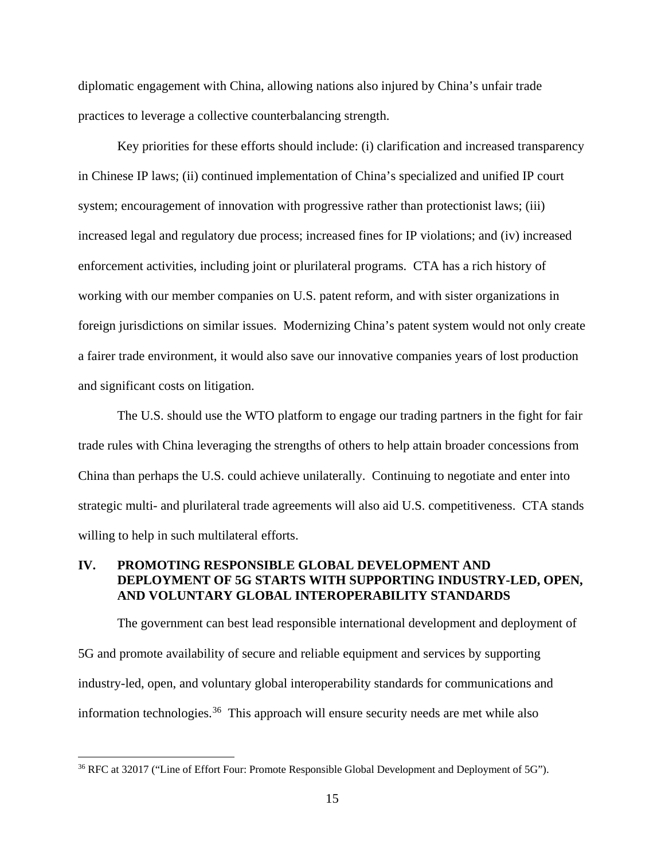diplomatic engagement with China, allowing nations also injured by China's unfair trade practices to leverage a collective counterbalancing strength.

Key priorities for these efforts should include: (i) clarification and increased transparency in Chinese IP laws; (ii) continued implementation of China's specialized and unified IP court system; encouragement of innovation with progressive rather than protectionist laws; (iii) increased legal and regulatory due process; increased fines for IP violations; and (iv) increased enforcement activities, including joint or plurilateral programs. CTA has a rich history of working with our member companies on U.S. patent reform, and with sister organizations in foreign jurisdictions on similar issues. Modernizing China's patent system would not only create a fairer trade environment, it would also save our innovative companies years of lost production and significant costs on litigation.

The U.S. should use the WTO platform to engage our trading partners in the fight for fair trade rules with China leveraging the strengths of others to help attain broader concessions from China than perhaps the U.S. could achieve unilaterally. Continuing to negotiate and enter into strategic multi- and plurilateral trade agreements will also aid U.S. competitiveness. CTA stands willing to help in such multilateral efforts.

## **IV. PROMOTING RESPONSIBLE GLOBAL DEVELOPMENT AND DEPLOYMENT OF 5G STARTS WITH SUPPORTING INDUSTRY-LED, OPEN, AND VOLUNTARY GLOBAL INTEROPERABILITY STANDARDS**

The government can best lead responsible international development and deployment of 5G and promote availability of secure and reliable equipment and services by supporting industry-led, open, and voluntary global interoperability standards for communications and information technologies. [36](#page-14-0) This approach will ensure security needs are met while also

<span id="page-14-0"></span> <sup>36</sup> RFC at 32017 ("Line of Effort Four: Promote Responsible Global Development and Deployment of 5G").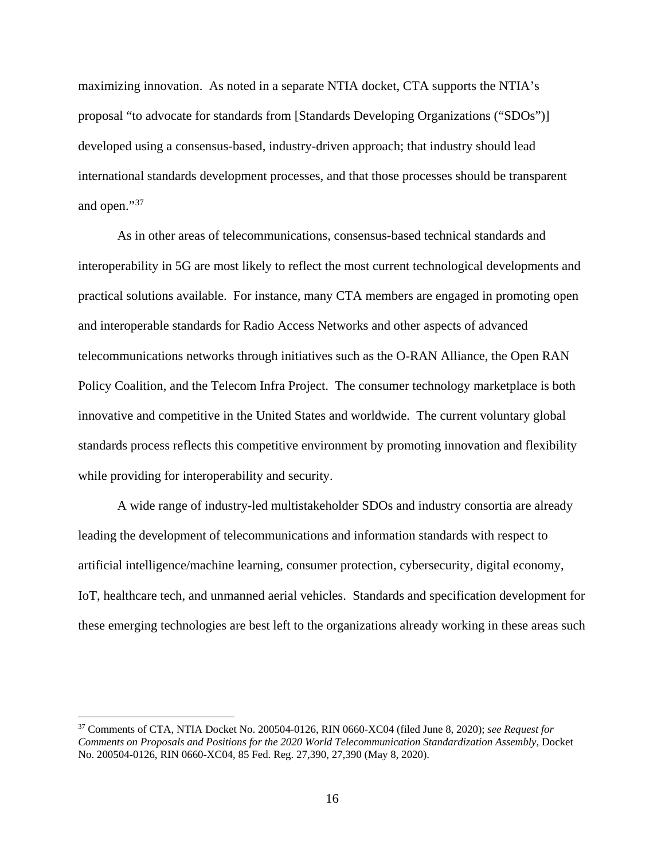maximizing innovation. As noted in a separate NTIA docket, CTA supports the NTIA's proposal "to advocate for standards from [Standards Developing Organizations ("SDOs")] developed using a consensus-based, industry-driven approach; that industry should lead international standards development processes, and that those processes should be transparent and open."<sup>[37](#page-15-0)</sup>

As in other areas of telecommunications, consensus-based technical standards and interoperability in 5G are most likely to reflect the most current technological developments and practical solutions available. For instance, many CTA members are engaged in promoting open and interoperable standards for Radio Access Networks and other aspects of advanced telecommunications networks through initiatives such as the O-RAN Alliance, the Open RAN Policy Coalition, and the Telecom Infra Project. The consumer technology marketplace is both innovative and competitive in the United States and worldwide. The current voluntary global standards process reflects this competitive environment by promoting innovation and flexibility while providing for interoperability and security.

A wide range of industry-led multistakeholder SDOs and industry consortia are already leading the development of telecommunications and information standards with respect to artificial intelligence/machine learning, consumer protection, cybersecurity, digital economy, IoT, healthcare tech, and unmanned aerial vehicles. Standards and specification development for these emerging technologies are best left to the organizations already working in these areas such

<span id="page-15-0"></span> <sup>37</sup> Comments of CTA, NTIA Docket No. 200504-0126, RIN 0660-XC04 (filed June 8, 2020); *see Request for Comments on Proposals and Positions for the 2020 World Telecommunication Standardization Assembly*, Docket No. 200504-0126, RIN 0660-XC04, 85 Fed. Reg. 27,390, 27,390 (May 8, 2020).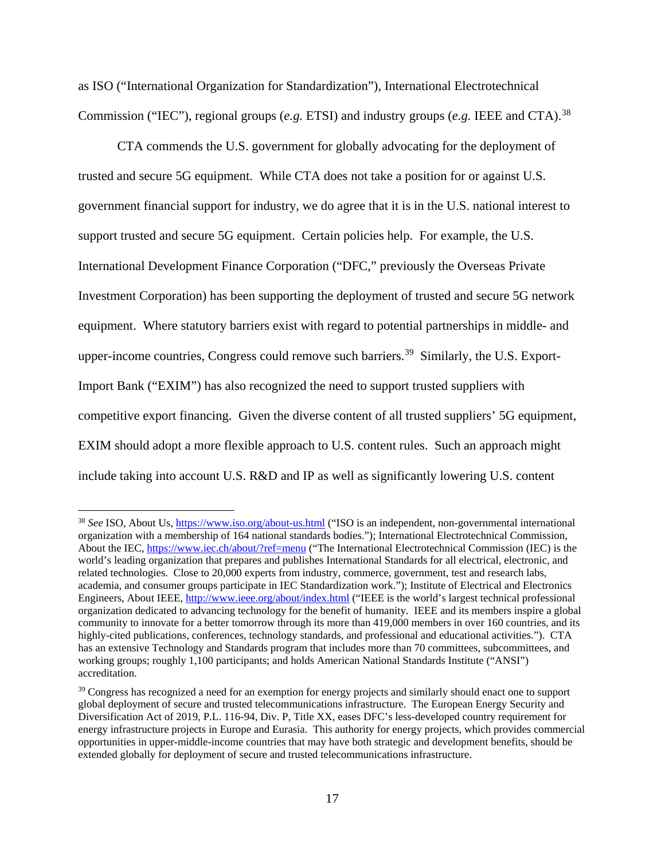as ISO ("International Organization for Standardization"), International Electrotechnical Commission ("IEC"), regional groups (*e.g.* ETSI) and industry groups (*e.g.* IEEE and CTA).<sup>[38](#page-16-0)</sup>

CTA commends the U.S. government for globally advocating for the deployment of trusted and secure 5G equipment. While CTA does not take a position for or against U.S. government financial support for industry, we do agree that it is in the U.S. national interest to support trusted and secure 5G equipment. Certain policies help. For example, the U.S. International Development Finance Corporation ("DFC," previously the Overseas Private Investment Corporation) has been supporting the deployment of trusted and secure 5G network equipment. Where statutory barriers exist with regard to potential partnerships in middle- and upper-income countries, Congress could remove such barriers.<sup>[39](#page-16-1)</sup> Similarly, the U.S. Export-Import Bank ("EXIM") has also recognized the need to support trusted suppliers with competitive export financing. Given the diverse content of all trusted suppliers' 5G equipment, EXIM should adopt a more flexible approach to U.S. content rules. Such an approach might include taking into account U.S. R&D and IP as well as significantly lowering U.S. content

<span id="page-16-0"></span><sup>&</sup>lt;sup>38</sup> See ISO, About Us,<https://www.iso.org/about-us.html> ("ISO is an independent, non-governmental international organization with a membership of 164 national standards bodies."); International Electrotechnical Commission, About the IEC,<https://www.iec.ch/about/?ref=menu> ("The International Electrotechnical Commission (IEC) is the world's leading organization that prepares and publishes International Standards for all electrical, electronic, and related technologies. Close to 20,000 experts from industry, commerce, government, test and research labs, academia, and consumer groups participate in IEC Standardization work."); Institute of Electrical and Electronics Engineers, About IEEE,<http://www.ieee.org/about/index.html> ("IEEE is the world's largest technical professional organization dedicated to advancing technology for the benefit of humanity. IEEE and its members inspire a global community to innovate for a better tomorrow through its more than 419,000 members in over 160 countries, and its highly-cited publications, conferences, technology standards, and professional and educational activities."). CTA has an extensive Technology and Standards program that includes more than 70 committees, subcommittees, and working groups; roughly 1,100 participants; and holds American National Standards Institute ("ANSI") accreditation.

<span id="page-16-1"></span><sup>&</sup>lt;sup>39</sup> Congress has recognized a need for an exemption for energy projects and similarly should enact one to support global deployment of secure and trusted telecommunications infrastructure. The European Energy Security and Diversification Act of 2019, P.L. 116-94, Div. P, Title XX, eases DFC's less-developed country requirement for energy infrastructure projects in Europe and Eurasia. This authority for energy projects, which provides commercial opportunities in upper-middle-income countries that may have both strategic and development benefits, should be extended globally for deployment of secure and trusted telecommunications infrastructure.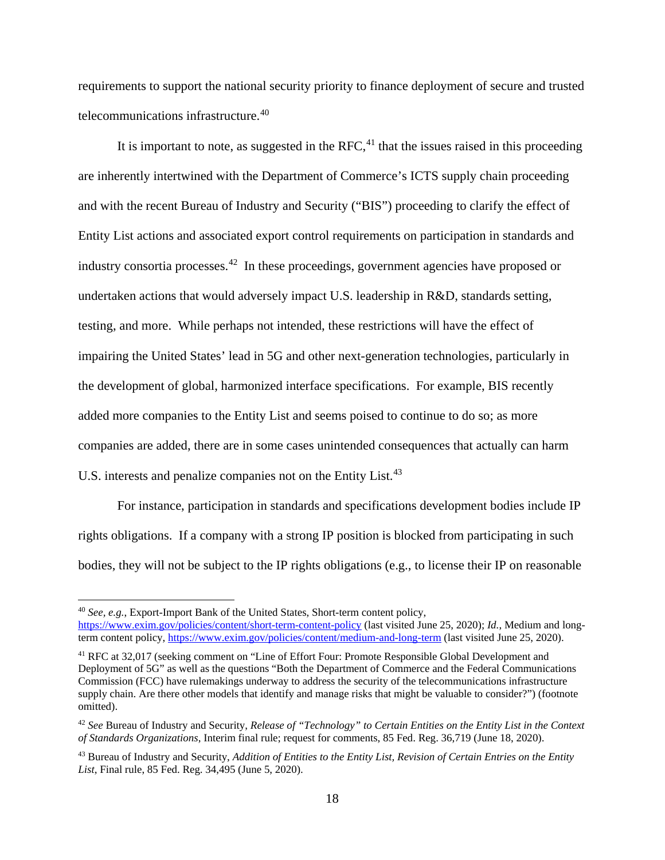requirements to support the national security priority to finance deployment of secure and trusted telecommunications infrastructure. [40](#page-17-0) 

It is important to note, as suggested in the RFC, $41$  that the issues raised in this proceeding are inherently intertwined with the Department of Commerce's ICTS supply chain proceeding and with the recent Bureau of Industry and Security ("BIS") proceeding to clarify the effect of Entity List actions and associated export control requirements on participation in standards and industry consortia processes.<sup>42</sup> In these proceedings, government agencies have proposed or undertaken actions that would adversely impact U.S. leadership in R&D, standards setting, testing, and more. While perhaps not intended, these restrictions will have the effect of impairing the United States' lead in 5G and other next-generation technologies, particularly in the development of global, harmonized interface specifications. For example, BIS recently added more companies to the Entity List and seems poised to continue to do so; as more companies are added, there are in some cases unintended consequences that actually can harm U.S. interests and penalize companies not on the Entity List.<sup>[43](#page-17-3)</sup>

For instance, participation in standards and specifications development bodies include IP rights obligations. If a company with a strong IP position is blocked from participating in such bodies, they will not be subject to the IP rights obligations (e.g., to license their IP on reasonable

<span id="page-17-0"></span> <sup>40</sup> *See, e.g.*, Export-Import Bank of the United States, Short-term content policy,

<https://www.exim.gov/policies/content/short-term-content-policy> (last visited June 25, 2020); *Id.*, Medium and longterm content policy,<https://www.exim.gov/policies/content/medium-and-long-term> (last visited June 25, 2020).

<span id="page-17-1"></span><sup>41</sup> RFC at 32,017 (seeking comment on "Line of Effort Four: Promote Responsible Global Development and Deployment of 5G" as well as the questions "Both the Department of Commerce and the Federal Communications Commission (FCC) have rulemakings underway to address the security of the telecommunications infrastructure supply chain. Are there other models that identify and manage risks that might be valuable to consider?") (footnote omitted).

<span id="page-17-2"></span><sup>42</sup> *See* Bureau of Industry and Security, *Release of "Technology" to Certain Entities on the Entity List in the Context of Standards Organizations*, Interim final rule; request for comments, 85 Fed. Reg. 36,719 (June 18, 2020).

<span id="page-17-3"></span><sup>43</sup> Bureau of Industry and Security, *Addition of Entities to the Entity List, Revision of Certain Entries on the Entity List*, Final rule, 85 Fed. Reg. 34,495 (June 5, 2020).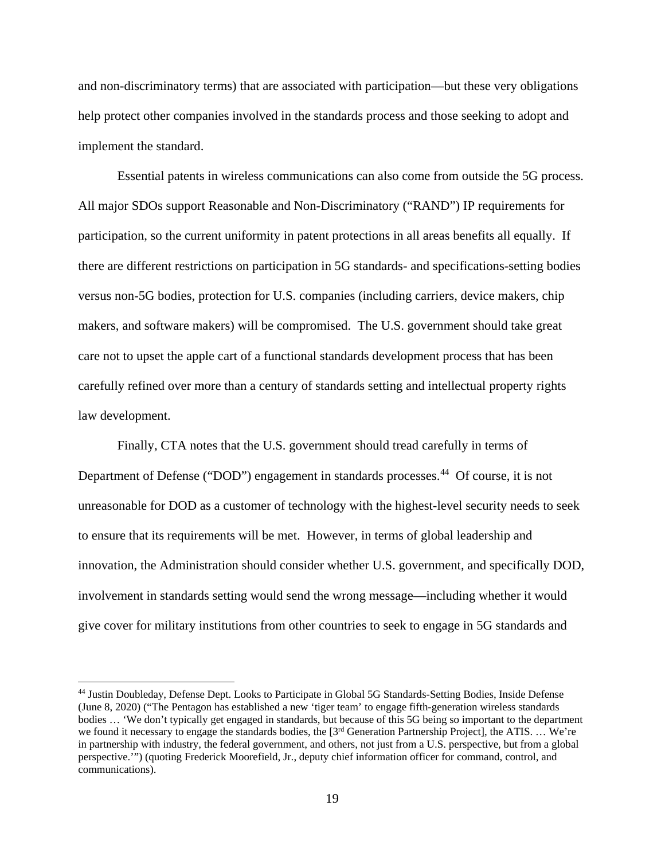and non-discriminatory terms) that are associated with participation—but these very obligations help protect other companies involved in the standards process and those seeking to adopt and implement the standard.

Essential patents in wireless communications can also come from outside the 5G process. All major SDOs support Reasonable and Non-Discriminatory ("RAND") IP requirements for participation, so the current uniformity in patent protections in all areas benefits all equally. If there are different restrictions on participation in 5G standards- and specifications-setting bodies versus non-5G bodies, protection for U.S. companies (including carriers, device makers, chip makers, and software makers) will be compromised. The U.S. government should take great care not to upset the apple cart of a functional standards development process that has been carefully refined over more than a century of standards setting and intellectual property rights law development.

Finally, CTA notes that the U.S. government should tread carefully in terms of Department of Defense ("DOD") engagement in standards processes.<sup>44</sup> Of course, it is not unreasonable for DOD as a customer of technology with the highest-level security needs to seek to ensure that its requirements will be met. However, in terms of global leadership and innovation, the Administration should consider whether U.S. government, and specifically DOD, involvement in standards setting would send the wrong message—including whether it would give cover for military institutions from other countries to seek to engage in 5G standards and

<span id="page-18-0"></span> <sup>44</sup> Justin Doubleday, Defense Dept. Looks to Participate in Global 5G Standards-Setting Bodies, Inside Defense (June 8, 2020) ("The Pentagon has established a new 'tiger team' to engage fifth-generation wireless standards bodies … 'We don't typically get engaged in standards, but because of this 5G being so important to the department we found it necessary to engage the standards bodies, the [3<sup>rd</sup> Generation Partnership Project], the ATIS. ... We're in partnership with industry, the federal government, and others, not just from a U.S. perspective, but from a global perspective.'") (quoting Frederick Moorefield, Jr., deputy chief information officer for command, control, and communications).